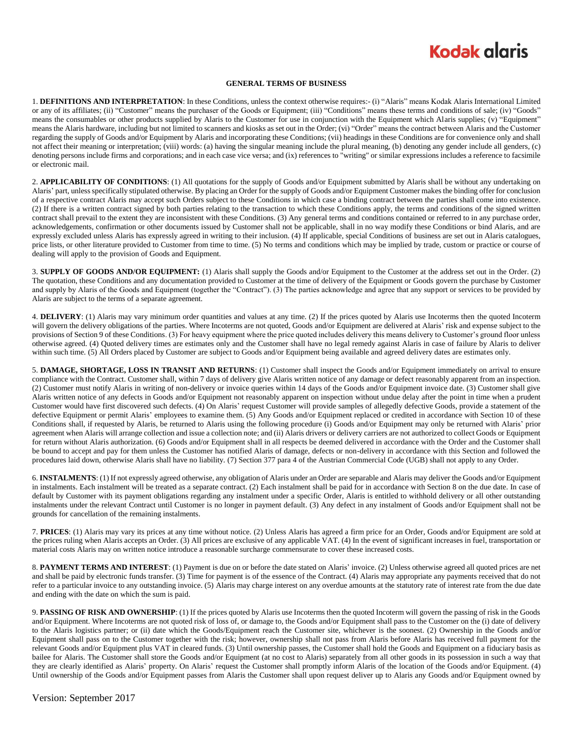## **Kodak glaris**

#### **GENERAL TERMS OF BUSINESS**

1. **DEFINITIONS AND INTERPRETATION**: In these Conditions, unless the context otherwise requires:- (i) "Alaris" means Kodak Alaris International Limited or any of its affiliates; (ii) "Customer" means the purchaser of the Goods or Equipment; (iii) "Conditions" means these terms and conditions of sale; (iv) "Goods" means the consumables or other products supplied by Alaris to the Customer for use in conjunction with the Equipment which Alaris supplies; (v) "Equipment" means the Alaris hardware, including but not limited to scanners and kiosks as set out in the Order; (vi) "Order" means the contract between Alaris and the Customer regarding the supply of Goods and/or Equipment by Alaris and incorporating these Conditions; (vii) headings in these Conditions are for convenience only and shall not affect their meaning or interpretation; (viii) words: (a) having the singular meaning include the plural meaning, (b) denoting any gender include all genders, (c) denoting persons include firms and corporations; and in each case vice versa; and (ix) references to "writing" or similar expressions includes a reference to facsimile or electronic mail.

2. **APPLICABILITY OF CONDITIONS**: (1) All quotations for the supply of Goods and/or Equipment submitted by Alaris shall be without any undertaking on Alaris' part, unless specifically stipulated otherwise. By placing an Order for the supply of Goods and/or Equipment Customer makes the binding offer for conclusion of a respective contract Alaris may accept such Orders subject to these Conditions in which case a binding contract between the parties shall come into existence. (2) If there is a written contract signed by both parties relating to the transaction to which these Conditions apply, the terms and conditions of the signed written contract shall prevail to the extent they are inconsistent with these Conditions. (3) Any general terms and conditions contained or referred to in any purchase order, acknowledgements, confirmation or other documents issued by Customer shall not be applicable, shall in no way modify these Conditions or bind Alaris, and are expressly excluded unless Alaris has expressly agreed in writing to their inclusion. (4) If applicable, special Conditions of business are set out in Alaris catalogues, price lists, or other literature provided to Customer from time to time. (5) No terms and conditions which may be implied by trade, custom or practice or course of dealing will apply to the provision of Goods and Equipment.

3. **SUPPLY OF GOODS AND/OR EQUIPMENT:** (1) Alaris shall supply the Goods and/or Equipment to the Customer at the address set out in the Order. (2) The quotation, these Conditions and any documentation provided to Customer at the time of delivery of the Equipment or Goods govern the purchase by Customer and supply by Alaris of the Goods and Equipment (together the "Contract"). (3) The parties acknowledge and agree that any support or services to be provided by Alaris are subject to the terms of a separate agreement.

4. **DELIVERY**: (1) Alaris may vary minimum order quantities and values at any time. (2) If the prices quoted by Alaris use Incoterms then the quoted Incoterm will govern the delivery obligations of the parties. Where Incoterms are not quoted, Goods and/or Equipment are delivered at Alaris' risk and expense subject to the provisions of Section 9 of these Conditions. (3) For heavy equipment where the price quoted includes delivery this means delivery to Customer's ground floor unless otherwise agreed. (4) Quoted delivery times are estimates only and the Customer shall have no legal remedy against Alaris in case of failure by Alaris to deliver within such time. (5) All Orders placed by Customer are subject to Goods and/or Equipment being available and agreed delivery dates are estimates only.

5. **DAMAGE, SHORTAGE, LOSS IN TRANSIT AND RETURNS**: (1) Customer shall inspect the Goods and/or Equipment immediately on arrival to ensure compliance with the Contract. Customer shall, within 7 days of delivery give Alaris written notice of any damage or defect reasonably apparent from an inspection. (2) Customer must notify Alaris in writing of non-delivery or invoice queries within 14 days of the Goods and/or Equipment invoice date. (3) Customer shall give Alaris written notice of any defects in Goods and/or Equipment not reasonably apparent on inspection without undue delay after the point in time when a prudent Customer would have first discovered such defects. (4) On Alaris' request Customer will provide samples of allegedly defective Goods, provide a statement of the defective Equipment or permit Alaris' employees to examine them. (5) Any Goods and/or Equipment replaced or credited in accordance with Section 10 of these Conditions shall, if requested by Alaris, be returned to Alaris using the following procedure (i) Goods and/or Equipment may only be returned with Alaris' prior agreement when Alaris will arrange collection and issue a collection note; and (ii) Alaris drivers or delivery carriers are not authorized to collect Goods or Equipment for return without Alaris authorization. (6) Goods and/or Equipment shall in all respects be deemed delivered in accordance with the Order and the Customer shall be bound to accept and pay for them unless the Customer has notified Alaris of damage, defects or non-delivery in accordance with this Section and followed the procedures laid down, otherwise Alaris shall have no liability. (7) Section 377 para 4 of the Austrian Commercial Code (UGB) shall not apply to any Order.

6. **INSTALMENTS**: (1) If not expressly agreed otherwise, any obligation of Alaris under an Order are separable and Alaris may deliver the Goods and/or Equipment in instalments. Each instalment will be treated as a separate contract. (2) Each instalment shall be paid for in accordance with Section 8 on the due date. In case of default by Customer with its payment obligations regarding any instalment under a specific Order, Alaris is entitled to withhold delivery or all other outstanding instalments under the relevant Contract until Customer is no longer in payment default. (3) Any defect in any instalment of Goods and/or Equipment shall not be grounds for cancellation of the remaining instalments.

7. **PRICES**: (1) Alaris may vary its prices at any time without notice. (2) Unless Alaris has agreed a firm price for an Order, Goods and/or Equipment are sold at the prices ruling when Alaris accepts an Order. (3) All prices are exclusive of any applicable VAT. (4) In the event of significant increases in fuel, transportation or material costs Alaris may on written notice introduce a reasonable surcharge commensurate to cover these increased costs.

8. **PAYMENT TERMS AND INTEREST**: (1) Payment is due on or before the date stated on Alaris' invoice. (2) Unless otherwise agreed all quoted prices are net and shall be paid by electronic funds transfer. (3) Time for payment is of the essence of the Contract. (4) Alaris may appropriate any payments received that do not refer to a particular invoice to any outstanding invoice. (5) Alaris may charge interest on any overdue amounts at the statutory rate of interest rate from the due date and ending with the date on which the sum is paid.

9. **PASSING OF RISK AND OWNERSHIP**: (1) If the prices quoted by Alaris use Incoterms then the quoted Incoterm will govern the passing of risk in the Goods and/or Equipment. Where Incoterms are not quoted risk of loss of, or damage to, the Goods and/or Equipment shall pass to the Customer on the (i) date of delivery to the Alaris logistics partner; or (ii) date which the Goods/Equipment reach the Customer site, whichever is the soonest. (2) Ownership in the Goods and/or Equipment shall pass on to the Customer together with the risk; however, ownership shall not pass from Alaris before Alaris has received full payment for the relevant Goods and/or Equipment plus VAT in cleared funds. (3) Until ownership passes, the Customer shall hold the Goods and Equipment on a fiduciary basis as bailee for Alaris. The Customer shall store the Goods and/or Equipment (at no cost to Alaris) separately from all other goods in its possession in such a way that they are clearly identified as Alaris' property. On Alaris' request the Customer shall promptly inform Alaris of the location of the Goods and/or Equipment. (4) Until ownership of the Goods and/or Equipment passes from Alaris the Customer shall upon request deliver up to Alaris any Goods and/or Equipment owned by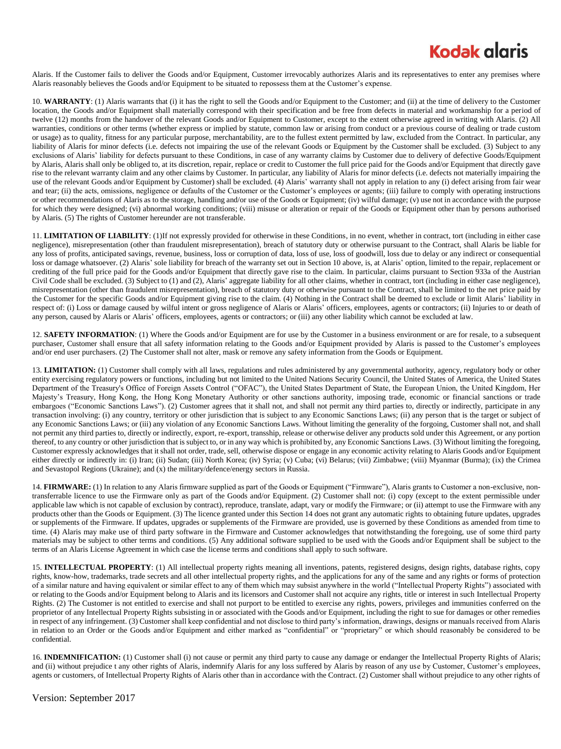## **Kodak glgris**

Alaris. If the Customer fails to deliver the Goods and/or Equipment, Customer irrevocably authorizes Alaris and its representatives to enter any premises where Alaris reasonably believes the Goods and/or Equipment to be situated to repossess them at the Customer's expense.

10. **WARRANTY**: (1) Alaris warrants that (i) it has the right to sell the Goods and/or Equipment to the Customer; and (ii) at the time of delivery to the Customer location, the Goods and/or Equipment shall materially correspond with their specification and be free from defects in material and workmanship for a period of twelve (12) months from the handover of the relevant Goods and/or Equipment to Customer, except to the extent otherwise agreed in writing with Alaris. (2) All warranties, conditions or other terms (whether express or implied by statute, common law or arising from conduct or a previous course of dealing or trade custom or usage) as to quality, fitness for any particular purpose, merchantability, are to the fullest extent permitted by law, excluded from the Contract. In particular, any liability of Alaris for minor defects (i.e. defects not impairing the use of the relevant Goods or Equipment by the Customer shall be excluded. (3) Subject to any exclusions of Alaris' liability for defects pursuant to these Conditions, in case of any warranty claims by Customer due to delivery of defective Goods/Equipment by Alaris, Alaris shall only be obliged to, at its discretion, repair, replace or credit to Customer the full price paid for the Goods and/or Equipment that directly gave rise to the relevant warranty claim and any other claims by Customer. In particular, any liability of Alaris for minor defects (i.e. defects not materially impairing the use of the relevant Goods and/or Equipment by Customer) shall be excluded. (4) Alaris' warranty shall not apply in relation to any (i) defect arising from fair wear and tear; (ii) the acts, omissions, negligence or defaults of the Customer or the Customer's employees or agents; (iii) failure to comply with operating instructions or other recommendations of Alaris as to the storage, handling and/or use of the Goods or Equipment; (iv) wilful damage; (v) use not in accordance with the purpose for which they were designed; (vi) abnormal working conditions; (viii) misuse or alteration or repair of the Goods or Equipment other than by persons authorised by Alaris. (5) The rights of Customer hereunder are not transferable.

11. **LIMITATION OF LIABILITY**: (1)If not expressly provided for otherwise in these Conditions, in no event, whether in contract, tort (including in either case negligence), misrepresentation (other than fraudulent misrepresentation), breach of statutory duty or otherwise pursuant to the Contract, shall Alaris be liable for any loss of profits, anticipated savings, revenue, business, loss or corruption of data, loss of use, loss of goodwill, loss due to delay or any indirect or consequential loss or damage whatsoever. (2) Alaris' sole liability for breach of the warranty set out in Section 10 above, is, at Alaris' option, limited to the repair, replacement or crediting of the full price paid for the Goods and/or Equipment that directly gave rise to the claim. In particular, claims pursuant to Section 933a of the Austrian Civil Code shall be excluded. (3) Subject to (1) and (2), Alaris' aggregate liability for all other claims, whether in contract, tort (including in either case negligence), misrepresentation (other than fraudulent misrepresentation), breach of statutory duty or otherwise pursuant to the Contract, shall be limited to the net price paid by the Customer for the specific Goods and/or Equipment giving rise to the claim. (4) Nothing in the Contract shall be deemed to exclude or limit Alaris' liability in respect of: (i) Loss or damage caused by wilful intent or gross negligence of Alaris or Alaris' officers, employees, agents or contractors; (ii) Injuries to or death of any person, caused by Alaris or Alaris' officers, employees, agents or contractors; or (iii) any other liability which cannot be excluded at law.

12. **SAFETY INFORMATION**: (1) Where the Goods and/or Equipment are for use by the Customer in a business environment or are for resale, to a subsequent purchaser, Customer shall ensure that all safety information relating to the Goods and/or Equipment provided by Alaris is passed to the Customer's employees and/or end user purchasers. (2) The Customer shall not alter, mask or remove any safety information from the Goods or Equipment.

13. **LIMITATION:** (1) Customer shall comply with all laws, regulations and rules administered by any governmental authority, agency, regulatory body or other entity exercising regulatory powers or functions, including but not limited to the United Nations Security Council, the United States of America, the United States Department of the Treasury's Office of Foreign Assets Control ("OFAC"), the United States Department of State, the European Union, the United Kingdom, Her Majesty's Treasury, Hong Kong, the Hong Kong Monetary Authority or other sanctions authority, imposing trade, economic or financial sanctions or trade embargoes ("Economic Sanctions Laws"). (2) Customer agrees that it shall not, and shall not permit any third parties to, directly or indirectly, participate in any transaction involving: (i) any country, territory or other jurisdiction that is subject to any Economic Sanctions Laws; (ii) any person that is the target or subject of any Economic Sanctions Laws; or (iii) any violation of any Economic Sanctions Laws. Without limiting the generality of the forgoing, Customer shall not, and shall not permit any third parties to, directly or indirectly, export, re-export, transship, release or otherwise deliver any products sold under this Agreement, or any portion thereof, to any country or other jurisdiction that is subject to, or in any way which is prohibited by, any Economic Sanctions Laws. (3) Without limiting the foregoing, Customer expressly acknowledges that it shall not order, trade, sell, otherwise dispose or engage in any economic activity relating to Alaris Goods and/or Equipment either directly or indirectly in: (i) Iran; (ii) Sudan; (iii) North Korea; (iv) Syria; (v) Cuba; (vi) Belarus; (vii) Zimbabwe; (viii) Myanmar (Burma); (ix) the Crimea and Sevastopol Regions (Ukraine); and (x) the military/defence/energy sectors in Russia.

14. **FIRMWARE:** (1) In relation to any Alaris firmware supplied as part of the Goods or Equipment ("Firmware"), Alaris grants to Customer a non-exclusive, nontransferrable licence to use the Firmware only as part of the Goods and/or Equipment. (2) Customer shall not: (i) copy (except to the extent permissible under applicable law which is not capable of exclusion by contract), reproduce, translate, adapt, vary or modify the Firmware; or (ii) attempt to use the Firmware with any products other than the Goods or Equipment. (3) The licence granted under this Section 14 does not grant any automatic rights to obtaining future updates, upgrades or supplements of the Firmware. If updates, upgrades or supplements of the Firmware are provided, use is governed by these Conditions as amended from time to time. (4) Alaris may make use of third party software in the Firmware and Customer acknowledges that notwithstanding the foregoing, use of some third party materials may be subject to other terms and conditions. (5) Any additional software supplied to be used with the Goods and/or Equipment shall be subject to the terms of an Alaris License Agreement in which case the license terms and conditions shall apply to such software.

15. **INTELLECTUAL PROPERTY**: (1) All intellectual property rights meaning all inventions, patents, registered designs, design rights, database rights, copy rights, know-how, trademarks, trade secrets and all other intellectual property rights, and the applications for any of the same and any rights or forms of protection of a similar nature and having equivalent or similar effect to any of them which may subsist anywhere in the world ("Intellectual Property Rights") associated with or relating to the Goods and/or Equipment belong to Alaris and its licensors and Customer shall not acquire any rights, title or interest in such Intellectual Property Rights. (2) The Customer is not entitled to exercise and shall not purport to be entitled to exercise any rights, powers, privileges and immunities conferred on the proprietor of any Intellectual Property Rights subsisting in or associated with the Goods and/or Equipment, including the right to sue for damages or other remedies in respect of any infringement. (3) Customer shall keep confidential and not disclose to third party's information, drawings, designs or manuals received from Alaris in relation to an Order or the Goods and/or Equipment and either marked as "confidential" or "proprietary" or which should reasonably be considered to be confidential.

16. **INDEMNIFICATION:** (1) Customer shall (i) not cause or permit any third party to cause any damage or endanger the Intellectual Property Rights of Alaris; and (ii) without prejudice t any other rights of Alaris, indemnify Alaris for any loss suffered by Alaris by reason of any use by Customer, Customer's employees, agents or customers, of Intellectual Property Rights of Alaris other than in accordance with the Contract. (2) Customer shall without prejudice to any other rights of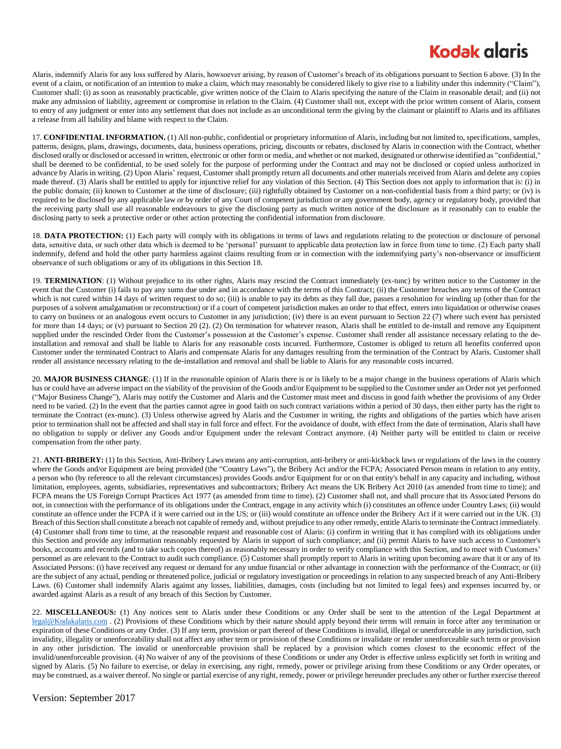## **Kodak glgris**

Alaris, indemnify Alaris for any loss suffered by Alaris, howsoever arising, by reason of Customer's breach of its obligations pursuant to Section 6 above. (3) In the event of a claim, or notification of an intention to make a claim, which may reasonably be considered likely to give rise to a liability under this indemnity ("Claim"), Customer shall: (i) as soon as reasonably practicable, give written notice of the Claim to Alaris specifying the nature of the Claim in reasonable detail; and (ii) not make any admission of liability, agreement or compromise in relation to the Claim. (4) Customer shall not, except with the prior written consent of Alaris, consent to entry of any judgment or enter into any settlement that does not include as an unconditional term the giving by the claimant or plaintiff to Alaris and its affiliates a release from all liability and blame with respect to the Claim.

17. **CONFIDENTIAL INFORMATION.** (1) All non-public, confidential or proprietary information of Alaris, including but not limited to, specifications, samples, patterns, designs, plans, drawings, documents, data, business operations, pricing, discounts or rebates, disclosed by Alaris in connection with the Contract, whether disclosed orally or disclosed or accessed in written, electronic or other form or media, and whether or not marked, designated or otherwise identified as "confidential," shall be deemed to be confidential, to be used solely for the purpose of performing under the Contract and may not be disclosed or copied unless authorized in advance by Alaris in writing. (2) Upon Alaris' request, Customer shall promptly return all documents and other materials received from Alaris and delete any copies made thereof. (3) Alaris shall be entitled to apply for injunctive relief for any violation of this Section. (4) This Section does not apply to information that is: (i) in the public domain; (ii) known to Customer at the time of disclosure; (iii) rightfully obtained by Customer on a non-confidential basis from a third party; or (iv) is required to be disclosed by any applicable law or by order of any Court of competent jurisdiction or any government body, agency or regulatory body, provided that the receiving party shall use all reasonable endeavours to give the disclosing party as much written notice of the disclosure as it reasonably can to enable the disclosing party to seek a protective order or other action protecting the confidential information from disclosure.

18. **DATA PROTECTION:** (1) Each party will comply with its obligations in terms of laws and regulations relating to the protection or disclosure of personal data, sensitive data, or such other data which is deemed to be 'personal' pursuant to applicable data protection law in force from time to time. (2) Each party shall indemnify, defend and hold the other party harmless against claims resulting from or in connection with the indemnifying party's non-observance or insufficient observance of such obligations or any of its obligations in this Section 18.

19. **TERMINATION**: (1) Without prejudice to its other rights, Alaris may rescind the Contract immediately (ex-tunc) by written notice to the Customer in the event that the Customer (i) fails to pay any sums due under and in accordance with the terms of this Contract; (ii) the Customer breaches any terms of the Contract which is not cured within 14 days of written request to do so; (iii) is unable to pay its debts as they fall due, passes a resolution for winding up (other than for the purposes of a solvent amalgamation or reconstruction) or if a court of competent jurisdiction makes an order to that effect, enters into liquidation or otherwise ceases to carry on business or an analogous event occurs to Customer in any jurisdiction; (iv) there is an event pursuant to Section 22 (7) where such event has persisted for more than 14 days; or (v) pursuant to Section 20 (2). (2) On termination for whatever reason, Alaris shall be entitled to de-install and remove any Equipment supplied under the rescinded Order from the Customer's possession at the Customer's expense. Customer shall render all assistance necessary relating to the deinstallation and removal and shall be liable to Alaris for any reasonable costs incurred. Furthermore, Customer is obliged to return all benefits conferred upon Customer under the terminated Contract to Alaris and compensate Alaris for any damages resulting from the termination of the Contract by Alaris. Customer shall render all assistance necessary relating to the de-installation and removal and shall be liable to Alaris for any reasonable costs incurred.

20. **MAJOR BUSINESS CHANGE**: (1) If in the reasonable opinion of Alaris there is or is likely to be a major change in the business operations of Alaris which has or could have an adverse impact on the viability of the provision of the Goods and/or Equipment to be supplied to the Customer under an Order not yet performed ("Major Business Change"), Alaris may notify the Customer and Alaris and the Customer must meet and discuss in good faith whether the provisions of any Order need to be varied. (2) In the event that the parties cannot agree in good faith on such contract variations within a period of 30 days, then either party has the right to terminate the Contract (ex-munc). (3) Unless otherwise agreed by Alaris and the Customer in writing, the rights and obligations of the parties which have arisen prior to termination shall not be affected and shall stay in full force and effect. For the avoidance of doubt, with effect from the date of termination, Alaris shall have no obligation to supply or deliver any Goods and/or Equipment under the relevant Contract anymore. (4) Neither party will be entitled to claim or receive compensation from the other party.

21. **ANTI-BRIBERY:** (1) In this Section, Anti-Bribery Laws means any anti-corruption, anti-bribery or anti-kickback laws or regulations of the laws in the country where the Goods and/or Equipment are being provided (the "Country Laws"), the Bribery Act and/or the FCPA; Associated Person means in relation to any entity, a person who (by reference to all the relevant circumstances) provides Goods and/or Equipment for or on that entity's behalf in any capacity and including, without limitation, employees, agents, subsidiaries, representatives and subcontractors; Bribery Act means the UK Bribery Act 2010 (as amended from time to time); and FCPA means the US Foreign Corrupt Practices Act 1977 (as amended from time to time). (2) Customer shall not, and shall procure that its Associated Persons do not, in connection with the performance of its obligations under the Contract, engage in any activity which (i) constitutes an offence under Country Laws; (ii) would constitute an offence under the FCPA if it were carried out in the US; or (iii) would constitute an offence under the Bribery Act if it were carried out in the UK. (3) Breach of this Section shall constitute a breach not capable of remedy and, without prejudice to any other remedy, entitle Alaris to terminate the Contract immediately. (4) Customer shall from time to time, at the reasonable request and reasonable cost of Alaris: (i) confirm in writing that it has complied with its obligations under this Section and provide any information reasonably requested by Alaris in support of such compliance; and (ii) permit Alaris to have such access to Customer's books, accounts and records (and to take such copies thereof) as reasonably necessary in order to verify compliance with this Section, and to meet with Customers' personnel as are relevant to the Contract to audit such compliance. (5) Customer shall promptly report to Alaris in writing upon becoming aware that it or any of its Associated Persons: (i) have received any request or demand for any undue financial or other advantage in connection with the performance of the Contract; or (ii) are the subject of any actual, pending or threatened police, judicial or regulatory investigation or proceedings in relation to any suspected breach of any Anti-Bribery Laws. (6) Customer shall indemnify Alaris against any losses, liabilities, damages, costs (including but not limited to legal fees) and expenses incurred by, or awarded against Alaris as a result of any breach of this Section by Customer.

22. **MISCELLANEOUS:** (1) Any notices sent to Alaris under these Conditions or any Order shall be sent to the attention of the Legal Department at [legal@Kodakalaris.com](mailto:legal@Kodakalaris.com) . (2) Provisions of these Conditions which by their nature should apply beyond their terms will remain in force after any termination or expiration of these Conditions or any Order. (3) If any term, provision or part thereof of these Conditions is invalid, illegal or unenforceable in any jurisdiction, such invalidity, illegality or unenforceability shall not affect any other term or provision of these Conditions or invalidate or render unenforceable such term or provision in any other jurisdiction. The invalid or unenforceable provision shall be replaced by a provision which comes closest to the economic effect of the invalid/unenforceable provision. (4) No waiver of any of the provisions of these Conditions or under any Order is effective unless explicitly set forth in writing and signed by Alaris. (5) No failure to exercise, or delay in exercising, any right, remedy, power or privilege arising from these Conditions or any Order operates, or may be construed, as a waiver thereof. No single or partial exercise of any right, remedy, power or privilege hereunder precludes any other or further exercise thereof